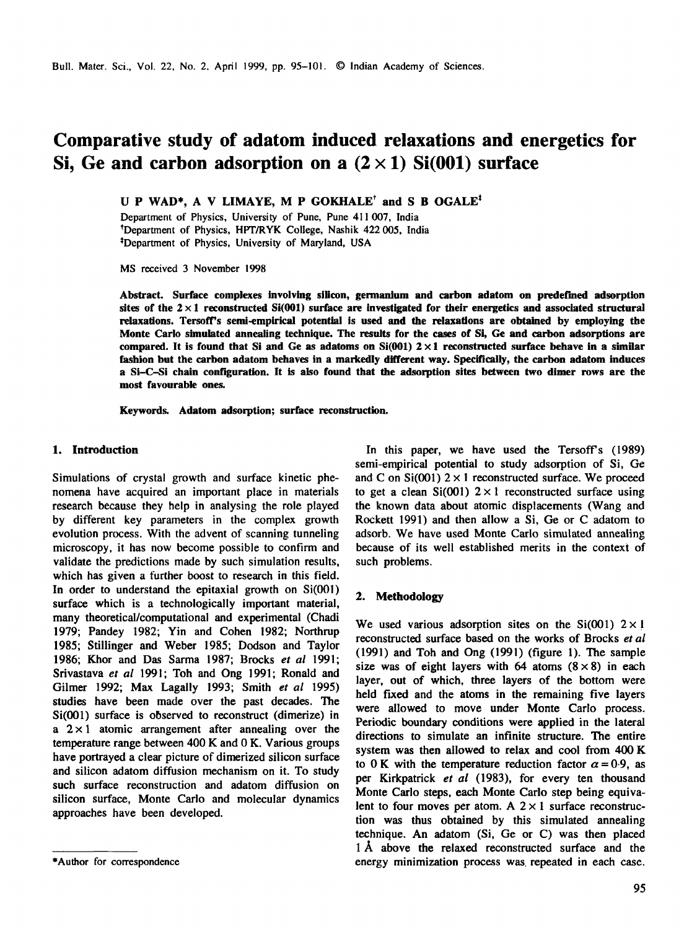# **Comparative study of adatom induced relaxations and energetics for**  Si, Ge and carbon adsorption on a  $(2 \times 1)$  Si $(001)$  surface

U P WAD\*, A V LIMAYE, M P GOKHALE<sup>†</sup> and S B OGALE<sup>†</sup>

Department of Physics, University of Pune, Pune 411 007, India tDepartment of Physics, HPT/RYK College, Nashik 422 005, India <sup>‡</sup>Department of Physics, University of Maryland, USA

MS received 3 November 1998

**Abstract. Surface complexes involving silicon, germanium and carbon adatom on predef'med adsorption**  sites of the  $2 \times 1$  reconstructed Si(001) surface are investigated for their energetics and associated structural **relaxations. Tersoff's semi-empirical potential is used and the relaxations are obtained by employing the Monte Carlo simulated annealing technique. The results for the cases of Si, Ge and carbon adsorptions are compared. It is found that Si and Ge as adatoms on Si(001) 2 × 1 reconstructed surface behave in a similar fashion but the carbon adatom behaves in a markedly different way. Specifically, the carbon adatom induces a Si-C-Si chain configuration. It is also found that the adsorption sites between two dimer rows are the most favourable ones.** 

**Keywords. Adatom adsorption; surface reconstruction.** 

### **1. Introduction**

Simulations of crystal growth and surface kinetic phenomena have acquired an important place in materials research because they help in analysing the role played by different key parameters in the complex growth evolution process. With the advent of scanning tunneling microscopy, it has now become possible to confirm and validate the predictions made by such simulation results, which has given a further boost to research in this field. In order to understand the epitaxial growth on Si(001) surface which is a technologically important material, many theoretical/computational and experimental (Chadi 1979; Pandey 1982; Yin and Cohen 1982; Northrup 1985; Stillinger and Weber 1985; Dodson and Taylor 1986; Khor and Das Sarma 1987; Brocks *et al* 1991; Srivastava *et al* 1991; Toh and Ong 1991; Ronald and Gilmer 1992; Max Lagaily 1993; Smith *et al* 1995) studies have been made over the past decades. The Si(001) surface is observed to reconstruct (dimerize) in a  $2 \times 1$  atomic arrangement after annealing over the temperature range between 400 K and 0 K. Various groups have portrayed a clear picture of dimerized silicon surface and silicon adatom diffusion mechanism on it. To study such surface reconstruction and adatom diffusion on silicon surface, Monte Carlo and molecular dynamics approaches have been developed.

In this paper, we have used the Tersoff's (1989) semi-empirical potential to study adsorption of Si, Ge and C on  $Si(001)$  2  $\times$  1 reconstructed surface. We proceed to get a clean  $Si(001)$   $2 \times 1$  reconstructed surface using the known data about atomic displacements (Wang and Rockett 1991) and then allow a Si, Ge or C adatom to adsorb. We have used Monte Carlo simulated annealing because of its well established merits in the context of such problems.

### **2. Methodology**

We used various adsorption sites on the  $Si(001)$   $2 \times 1$ reconstructed surface based on the works of Brocks *et al*  (1991) and Toh and Ong (1991) (figure 1). The sample size was of eight layers with 64 atoms  $(8 \times 8)$  in each layer, out of which, three layers of the bottom were held fixed and the atoms in the remaining five layers were allowed to move under Monte Carlo process. Periodic boundary conditions were applied in the lateral directions to simulate an infinite structure. The entire system was then allowed to relax and cool from 400 K to 0 K with the temperature reduction factor  $\alpha = 0.9$ , as per Kirkpatrick *et al* (1983), for every ten thousand Monte Carlo steps, each Monte Carlo step being equivalent to four moves per atom. A  $2 \times 1$  surface reconstruction was thus obtained by this simulated annealing technique. An adatom (Si, Ge or C) was then placed 1 A above the relaxed reconstructed surface and the energy minimization process was repeated in each case.

<sup>\*</sup>Author for correspondence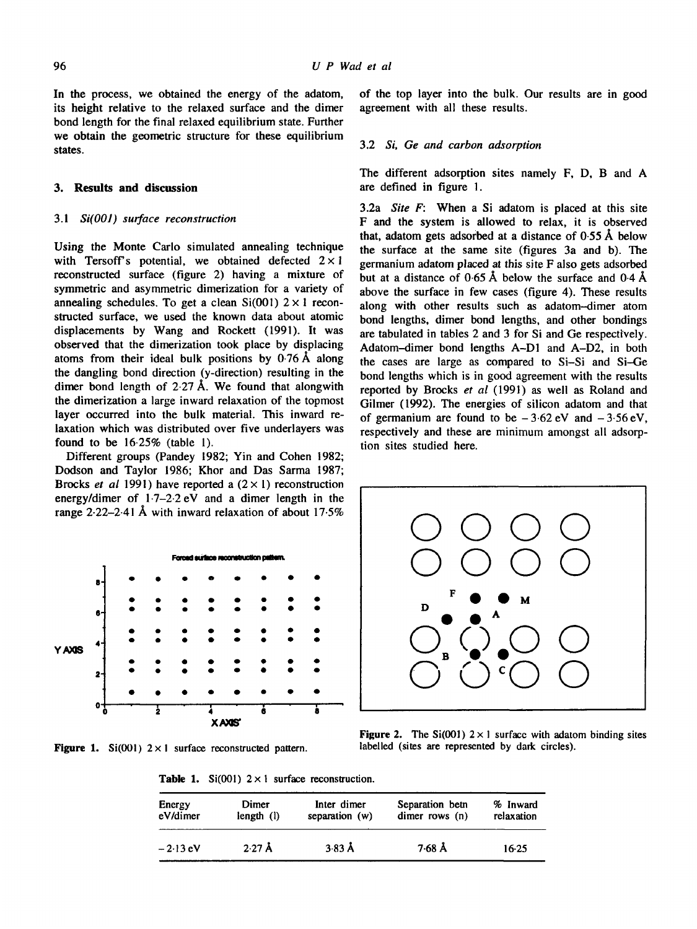In the process, we obtained the energy of the adatom, its height relative to the relaxed surface and the dimer bond length for the final relaxed equilibrium state. Further we obtain the geometric structure for these equilibrium states.

### **3. Results and discussion**

### 3.1 *Si(O01) surface reconstruction*

Using the Monte Carlo simulated annealing technique with Tersoff's potential, we obtained defected  $2 \times 1$ reconstructed surface (figure 2) having a mixture of symmetric and asymmetric dimerization for a variety of annealing schedules. To get a clean  $Si(001)$   $2 \times 1$  reconstructed surface, we used the known data about atomic displacements by Wang and Rockett (1991). It was observed that the dimerization took place by displacing atoms from their ideal bulk positions by  $0.76 \text{ Å}$  along the dangling bond direction (y-direction) resulting in the dimer bond length of  $2.27 \text{ Å}$ . We found that alongwith the dimerization a large inward relaxation of the topmost layer occurred into the bulk material. This inward relaxation which was distributed over five underlayers was found to be  $16.25%$  (table 1).

Different groups (Pandey 1982; Yin and Cohen 1982; Dodson and Taylor 1986; Khor and Das Sarma 1987; Brocks *et al* 1991) have reported a  $(2 \times 1)$  reconstruction energy/dimer of 1.7-2.2 eV and a dimer length in the range 2.22-2-41 A with inward relaxation of about 17.5%



Figure 1. Si(001)  $2 \times 1$  surface reconstructed pattern.

of the top layer into the bulk. Our results are in good agreement with all these results.

#### 3.2 *Si, Ge and carbon adsorption*

The different adsorption sites namely F, D, B and A are defined in figure 1.

3.2a *Site F:* When a Si adatom is placed at this site F and the system is allowed to relax, it is observed that, adatom gets adsorbed at a distance of 0.55 A below the surface at the same site (figures 3a and b). The germanium adatom placed at this site F also gets adsorbed but at a distance of  $0.65 \text{ Å}$  below the surface and  $0.4 \text{ Å}$ above the surface in few cases (figure 4). These results along with other results such as adatom--dimer atom bond lengths, dimer bond lengths, and other bondings are tabulated in tables 2 and 3 for Si and Ge respectively. Adatom-dimer bond lengths A-DI and A-D2, in both the cases are large as compared to Si-Si and Si--Ge bond lengths which is in good agreement with the results reported by Brocks *et al* (1991) as well as Roland and Gilmer (1992). The energies of silicon adatom and that of germanium are found to be  $-3.62$  eV and  $-3.56$  eV, respectively and these are minimum amongst all adsorption sites studied here.



Figure 2. The Si(001)  $2 \times 1$  surface with adatom binding sites labelled (sites are represented by dark circles).

**Table 1.** Si(001)  $2 \times 1$  surface reconstruction.

| Energy     | Dimer     | Inter dimer      | Separation beth  | % Inward   |
|------------|-----------|------------------|------------------|------------|
| eV/dimer   | length(1) | separation $(w)$ | dimer rows $(n)$ | relaxation |
| $-2.13$ eV | $2.27$ Å  | $3.83 \text{ Å}$ | $7.68$ Å         | $16-25$    |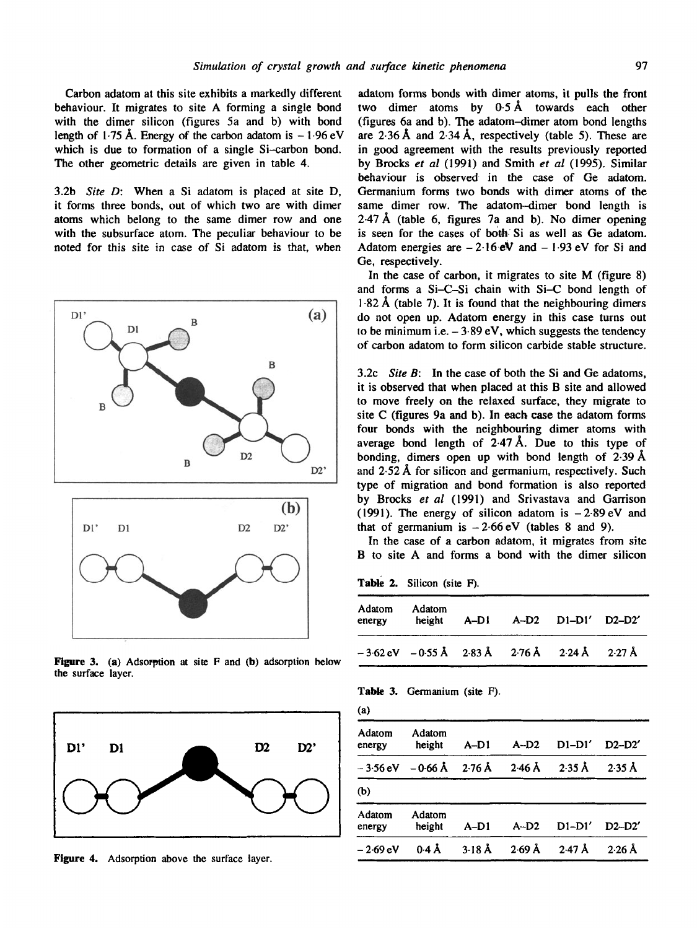Carbon adatom at this site exhibits a markedly different behaviour. It migrates to site A forming a single bond with the dimer silicon (figures 5a and b) with bond length of 1.75 Å. Energy of the carbon adatom is  $-1.96$  eV which is due to formation of a single Si-carbon bond. The other geometric details are given in table 4.

3.2b *Site D:* When a Si adatom is placed at site D, it forms three bonds, out of which two are with dimer atoms which belong to the same dimer row and one with the subsurface atom. The peculiar behaviour to be noted for this site in case of Si adatom is that, when



Figure 3. (a) Adsorption at site  $F$  and (b) adsorption below the surface layer.



Figure 4. Adsorption above the surface layer.

adatom forms bonds with dimer atoms, it pulls the front two dimer atoms by  $0.5 \text{ Å}$  towards each other (figures 6a and b). The adatom-dimer atom bond lengths are 2.36 A and 2.34 A, respectively (table 5). These are in good agreement with the results previously reported by Brocks *et al* (1991) and Smith *et al* (1995). Similar behaviour is observed in the case of Ge adatom. Germanium forms two bonds with dimer atoms of the same dimer row. The adatom-dimer bond length is  $2.47 \text{ Å}$  (table 6, figures 7a and b). No dimer opening is seen for the cases of both Si as well as Ge adatom. Adatom energies are  $-2.16eV$  and  $-1.93eV$  for Si and Ge, respectively.

In the case of carbon, it migrates to site M (figure 8) and forms a Si-C-Si chain with Si-C bond length of  $1.82 \text{ Å}$  (table 7). It is found that the neighbouring dimers do not open up. Adatom energy in this case turns out to be minimum i.e.  $-3.89$  eV, which suggests the tendency of carbon adatom to form silicon carbide stable structure.

3.2c *Site B:* In the case of both the Si and Ge adatoms, it is observed that when placed at this B site and allowed to move freely on the relaxed surface, they migrate to site C (figures 9a and b). In each case the adatom forms four bonds with the neighbouring dimer atoms with average bond length of  $2.47 \text{ Å}$ . Due to this type of bonding, dimers open up with bond length of  $2.39 \text{ Å}$ and 2-52 A for silicon and germanium, respectively. Such type of migration and bond formation is also reported by Brocks *et al* (1991) and Srivastava and Garrison (1991). The energy of silicon adatom is  $-2.89$  eV and that of germanium is  $-2.66$  eV (tables 8 and 9).

In the case of a carbon adatom, it migrates from site B to site A and forms a bond with the dimer silicon

Table 2. Silicon (site F).

| Adatom<br>energy | Adatom<br>height                                                                                         |  | A-D1 A-D2 D1-D1' D2-D2' |  |
|------------------|----------------------------------------------------------------------------------------------------------|--|-------------------------|--|
|                  | $-3.62 \text{ eV}$ $-0.55 \text{ Å}$ $2.83 \text{ Å}$ $2.76 \text{ Å}$ $2.24 \text{ Å}$ $2.27 \text{ Å}$ |  |                         |  |

Table 3. Germanium (site F).

| (a)              |                  |                  |                  |                  |                  |
|------------------|------------------|------------------|------------------|------------------|------------------|
| Adatom<br>energy | Adatom<br>height | $A-D1$           | $A-D2$           | $D1-D1'$         | $D2-D2'$         |
| $-3.56$ eV       | $-0.66$ Å        | $2.76 \text{ Å}$ | $2.46 \text{ Å}$ | $2.35 \text{ Å}$ | $2.35 \text{ Å}$ |
| (b)              |                  |                  |                  |                  |                  |
| Adatom<br>energy | Adatom<br>height | $A-D1$           | $A-D2$           | $D1-D1'$         | $D2-D2'$         |
| – 2·69 eV        | $0.4 \text{ Å}$  | $3.18 \text{ Å}$ | $2.69$ Å         | $2.47 \text{ Å}$ | $2.26$ Å         |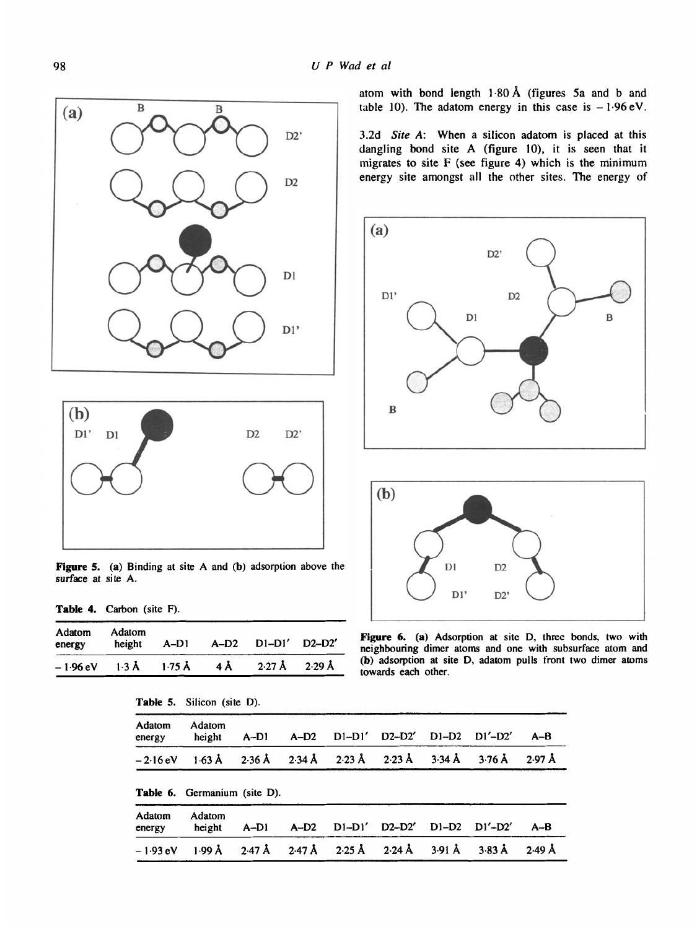



Figure 5. (a) Binding at site A and (b) adsorption above the *DI* D<sub>2</sub> D<sub>2</sub> surface at site A.  $\bigcup_{D}$ 

Table 4. Carbon (site F).

| Adatom<br>energy | Adatom                                                                                              |  | height A-D1 A-D2 D1-D1' D2-D2' |  |
|------------------|-----------------------------------------------------------------------------------------------------|--|--------------------------------|--|
|                  | $-1.96 \text{ eV}$ $1.3 \text{ Å}$ $1.75 \text{ Å}$ $4 \text{ Å}$ $2.27 \text{ Å}$ $2.29 \text{ Å}$ |  |                                |  |

|  | <b>Table 5.</b> Silicon (site D). |  |  |
|--|-----------------------------------|--|--|
|  |                                   |  |  |

| Adatom<br>energy   | Adatom<br>height                    | $A-D1$ | $A-D2$ | $D1-D1'$                                              | $D2-D2'$ $D1-D2$ $D1'-D2'$ |                      | $A-B$            |
|--------------------|-------------------------------------|--------|--------|-------------------------------------------------------|----------------------------|----------------------|------------------|
| $-2.16 \text{ eV}$ |                                     |        |        | $1.63$ Å $2.36$ Å $2.34$ Å $2.23$ Å $2.23$ Å $3.34$ Å |                            | $3.76\,\mathrm{\AA}$ | $2.97 \text{ Å}$ |
|                    | <b>Table 6.</b> Germanium (site D). |        |        |                                                       |                            |                      |                  |
| Adatom<br>energy   | Adatom<br>height                    | A-DI   | $A-D2$ | D1-D1'                                                | $D2-D2'$ $D1-D2$ $D1'-D2'$ |                      | $A-B$            |
| $-1.93$ eV         | $1.99 \text{ Å}$                    |        |        | $2.47$ Å $2.47$ Å $2.25$ Å $2.24$ Å $3.91$ Å          |                            | $3.83 \text{ Å}$     | $2.49 \text{ Å}$ |

atom with bond length  $1.80 \text{ Å}$  (figures 5a and b and table 10). The adatom energy in this case is  $-1.96$  eV.

3.2d *Site A:* When a silicon adatom is placed at this dangling bond site A (figure 10), it is seen that it migrates to site F (see figure 4) which is the minimum energy site amongst all the other sites. The energy of





Figure 6. (a) Adsorption at site D, three bonds, two with neighbouring dimer atoms and one with subsurface atom and (b) adsorption at site D, adatom pulls front two dimer atoms towards each other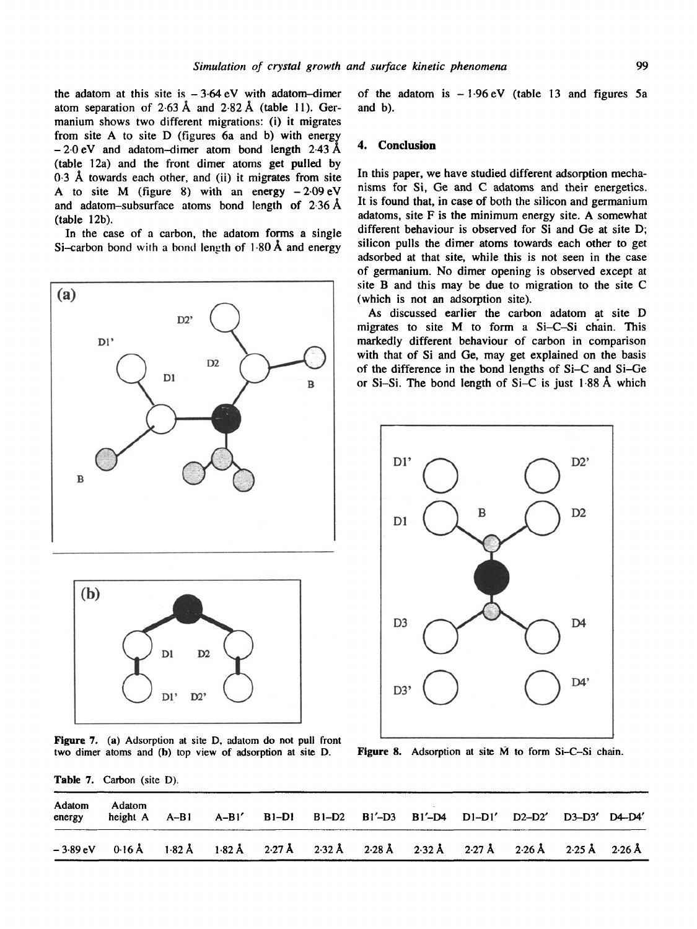the adatom at this site is  $-3.64$  eV with adatom-dimer atom separation of  $2.63 \text{ Å}$  and  $2.82 \text{ Å}$  (table 11). Germanium shows two different migrations: (i) it migrates from site A to site D (figures 6a and b) with energy  $-2.0$  eV and adatom-dimer atom bond length 2.43 Å (table 12a) and the front dimer atoms get pulled by 0-3 A towards each other, and (ii) it migrates from site A to site M (figure 8) with an energy  $-2.09 \text{ eV}$ and adatom-subsurface atoms bond length of 2-36A (table 12b).

In the case of a carbon, the adatom forms a single Si-carbon bond with a bond length of  $1.80 \text{ Å}$  and energy



Figure 7. (a) Adsorption at site D, adatom do not pull front two dimer atoms and (b) top view of adsorption at site D.

of the adatom is  $-1.96 \text{ eV}$  (table 13 and figures 5a and b).

#### **4. Conclusion**

In this paper, we have studied different adsorption mechanisms for Si, Ge and C adatoms and their energetics. It is found that, in case of both the silicon and germanium adatoms, site F is the minimum energy site. A somewhat different behaviour is observed for Si and Ge at site D; silicon pulls the dimer atoms towards each other to get adsorbed at that site, while this is not seen in the case of germanium. No dimer opening is observed except at site B and this may be due to migration to the site C (which is not an adsorption site).

As discussed earlier the carbon adatom at site D migrates to site M to form a Si-C-Si chain. This markedly different behaviour of carbon in comparison with that of Si and Ge, may get explained on the basis of the difference in the bond lengths of Si-C and Si-Ge or Si-Si. The bond length of Si-C is just 1.88 A which



**Figure 8.** Adsorption at site  $\dot{M}$  to form Si-C-Si chain.

Table 7. Carbon (site D).

| Adatom<br>energy | Adatom<br>height A A-B1 A-B1' B1-D1 B1-D2 B1'-D3 B1'-D4 D1-D1' D2-D2' D3-D3' D4-D4' |  |  |  |  |  |
|------------------|-------------------------------------------------------------------------------------|--|--|--|--|--|
|                  | -389eV 016Å 182Å 182Å 227Å 232Å 228Å 232Å 232Å 227Å 226Å 225Å 226Å                  |  |  |  |  |  |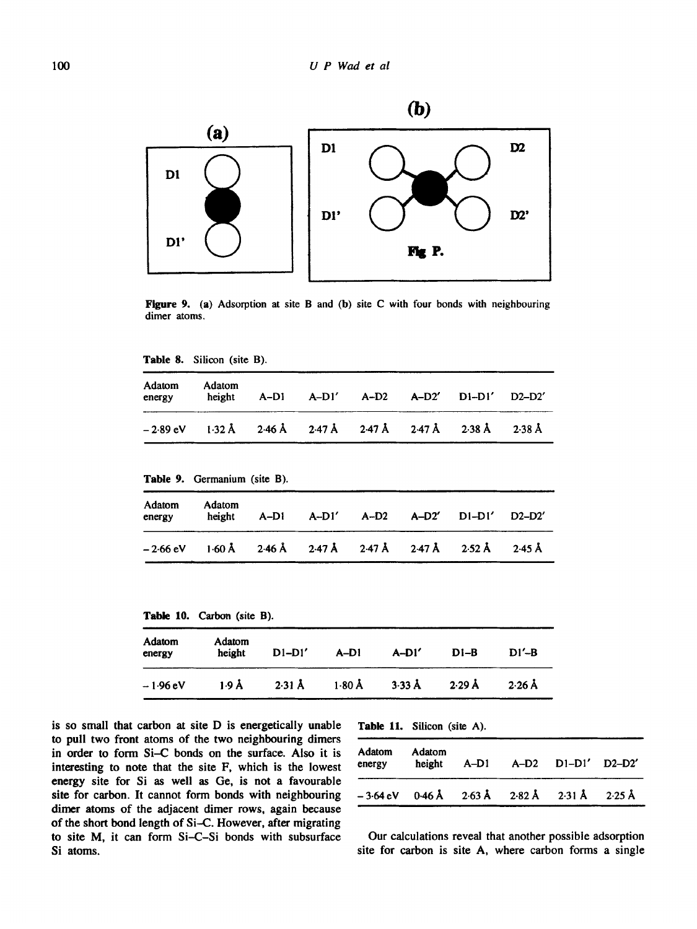

Figure 9. (a) Adsorption at site B and (b) site C with tour bonds with neighbouring dimer atoms.

| Table 8. |  | Silicon (site B). |  |  |  |
|----------|--|-------------------|--|--|--|
|----------|--|-------------------|--|--|--|

| Adatom<br>energy | Adatom<br>height | A-DI | A-D1' A-D2 A-D2' D1-D1' D2-D2'                              |  |  |
|------------------|------------------|------|-------------------------------------------------------------|--|--|
|                  |                  |      | – 2·89 eV i ·32 Å 2·46 Å 2·47 Å 2·47 Å 2·47 Å 2·38 Å 2·38 Å |  |  |

Table 9. Germanium (site B).

| Adatom<br>energy | Adatom<br>height                                                 | A-DI | $A-D1'$ $A-D2$ $A-D2'$ |  | $D1-D1'$ $D2-D2'$ |                  |
|------------------|------------------------------------------------------------------|------|------------------------|--|-------------------|------------------|
|                  | $-2.66$ eV $1.60$ Å $2.46$ Å $2.47$ Å $2.47$ Å $2.47$ Å $2.52$ Å |      |                        |  |                   | $2.45 \text{ Å}$ |

Table I0. Carbon (site B).

| <b>Adatom</b><br>energy | Adatom<br>height | $D1-D1'$         | $A-D1$           | $A-D1'$          | $D1-B$           | $DI' - B$ |
|-------------------------|------------------|------------------|------------------|------------------|------------------|-----------|
| – 1·96 eV               | 1.9 Å            | $2.31 \text{ Å}$ | $1.80 \text{ Å}$ | $3.33 \text{ Å}$ | $2.29 \text{ Å}$ | $2.26$ Å  |

is so small that carbon at site D is energetically unable to pull two front atoms of the two neighbouring dimers in order to form Si-C bonds on the surface. Also it is interesting to note that the site F, which is the lowest energy site for Si as well as Ge, is not a favourable site for carbon. It cannot form bonds with neighbouring dimer atoms of the adjacent dimer rows, again because of the short bond length of Si-C. However, after migrating to site M, it can form Si-C-Si bonds with subsurface Si atoms.

Table 11. Silicon (site A).

| Adatom<br>energy | Adatom<br>height |  | A-D1 A-D2 D1-D1' D2-D2'                      |  |
|------------------|------------------|--|----------------------------------------------|--|
| $-3.64$ eV       |                  |  | $0.46$ Å $2.63$ Å $2.82$ Å $2.31$ Å $2.25$ Å |  |

Our calculations reveal that another possible adsorption site for carbon is site A, where carbon forms a single